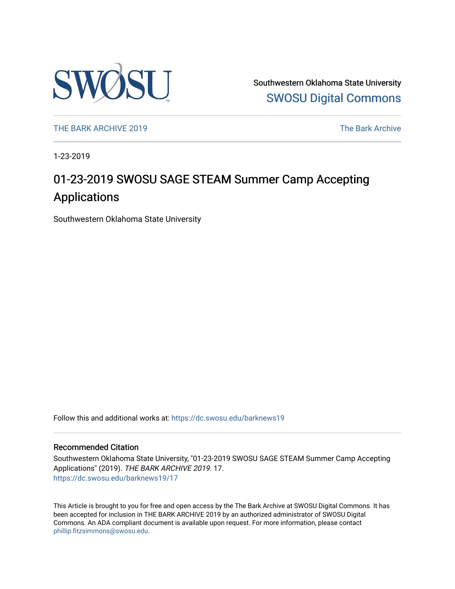

Southwestern Oklahoma State University [SWOSU Digital Commons](https://dc.swosu.edu/) 

[THE BARK ARCHIVE 2019](https://dc.swosu.edu/barknews19) The Bark Archive

1-23-2019

# 01-23-2019 SWOSU SAGE STEAM Summer Camp Accepting Applications

Southwestern Oklahoma State University

Follow this and additional works at: [https://dc.swosu.edu/barknews19](https://dc.swosu.edu/barknews19?utm_source=dc.swosu.edu%2Fbarknews19%2F17&utm_medium=PDF&utm_campaign=PDFCoverPages)

#### Recommended Citation

Southwestern Oklahoma State University, "01-23-2019 SWOSU SAGE STEAM Summer Camp Accepting Applications" (2019). THE BARK ARCHIVE 2019. 17. [https://dc.swosu.edu/barknews19/17](https://dc.swosu.edu/barknews19/17?utm_source=dc.swosu.edu%2Fbarknews19%2F17&utm_medium=PDF&utm_campaign=PDFCoverPages) 

This Article is brought to you for free and open access by the The Bark Archive at SWOSU Digital Commons. It has been accepted for inclusion in THE BARK ARCHIVE 2019 by an authorized administrator of SWOSU Digital Commons. An ADA compliant document is available upon request. For more information, please contact [phillip.fitzsimmons@swosu.edu](mailto:phillip.fitzsimmons@swosu.edu).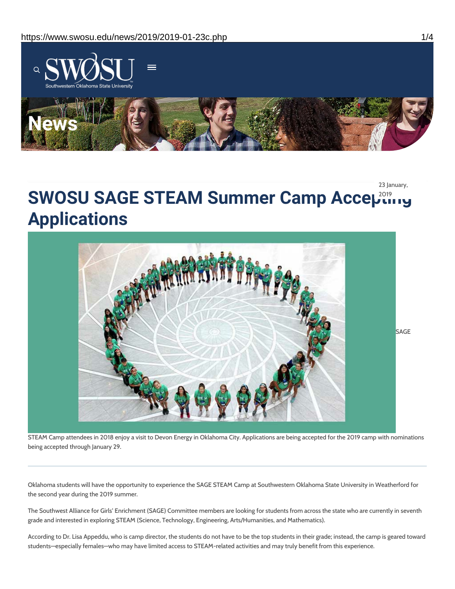

23 January,

# **SWOSU SAGE STEAM Summer Camp Accepting Applications**



STEAM Camp attendees in 2018 enjoy a visit to Devon Energy in Oklahoma City. Applications are being accepted for the 2019 camp with nominations being accepted through January 29.

Oklahoma students will have the opportunity to experience the SAGE STEAM Camp at Southwestern Oklahoma State University in Weatherford for the second year during the 2019 summer.

The Southwest Alliance for Girls' Enrichment (SAGE) Committee members are looking for students from across the state who are currently in seventh grade and interested in exploring STEAM (Science, Technology, Engineering, Arts/Humanities, and Mathematics).

According to Dr. Lisa Appeddu, who is camp director, the students do not have to be the top students in their grade; instead, the camp is geared toward students—especially females—who may have limited access to STEAM-related activities and may truly benefit from this experience.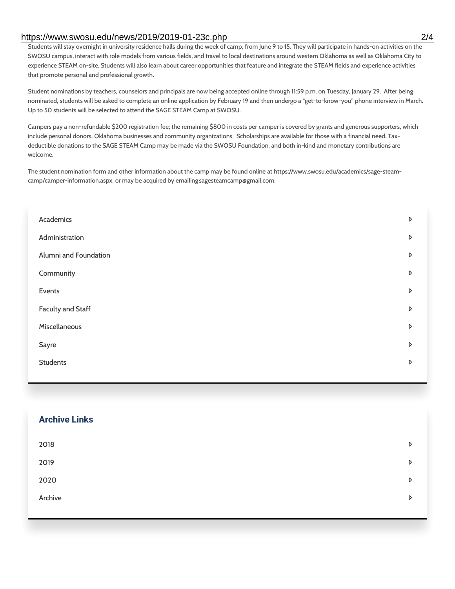### https://www.swosu.edu/news/2019/2019-01-23c.php 2/4

Students will stay overnight in university residence halls during the week of camp, from June 9 to 15. They will participate in hands-on activities on the SWOSU campus, interact with role models from various fields, and travel to local destinations around western Oklahoma as well as Oklahoma City to experience STEAM on-site. Students will also learn about career opportunities that feature and integrate the STEAM fields and experience activities that promote personal and professional growth.

Student nominations by teachers, counselors and principals are now being accepted online through 11:59 p.m. on Tuesday, January 29. After being nominated, students will be asked to complete an online application by February 19 and then undergo a "get-to-know-you" phone interview in March. Up to 50 students will be selected to attend the SAGE STEAM Camp at SWOSU.

Campers pay a non-refundable \$200 registration fee; the remaining \$800 in costs per camper is covered by grants and generous supporters, which include personal donors, Oklahoma businesses and community organizations. Scholarships are available for those with a financial need. Taxdeductible donations to the SAGE STEAM Camp may be made via the SWOSU Foundation, and both in-kind and monetary contributions are welcome.

The student nomination form and other information about the camp may be found online at https://www.swosu.edu/academics/sage-steamcamp/camper-information.aspx, or may be acquired by emailingsagesteamcamp@gmail.com.

| Academics                | D |
|--------------------------|---|
| Administration           | D |
| Alumni and Foundation    | D |
| Community                | D |
| Events                   | D |
| <b>Faculty and Staff</b> | D |
| Miscellaneous            | D |
| Sayre                    | D |
| <b>Students</b>          | D |
|                          |   |

| <b>Archive Links</b> |   |
|----------------------|---|
| 2018                 | D |
| 2019                 | D |
| 2020                 | D |
| Archive              | D |
|                      |   |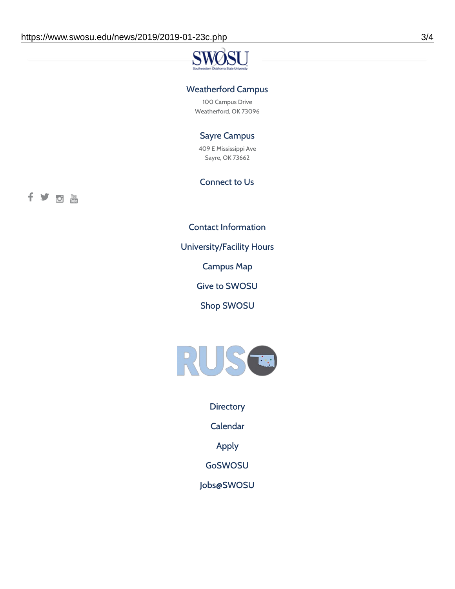# **SV** 3T 1

# Weatherford Campus

100 Campus Drive Weatherford, OK 73096

## Sayre Campus

409 E Mississippi Ave Sayre, OK 73662

# Connect to Us

fyothe

Contact [Information](https://www.swosu.edu/about/contact.php)

[University/Facility](https://www.swosu.edu/about/operating-hours.php) Hours

[Campus](https://map.concept3d.com/?id=768#!ct/10964,10214,10213,10212,10205,10204,10203,10202,10136,10129,10128,0,31226,10130,10201,10641,0) Map

Give to [SWOSU](https://standingfirmly.com/donate)

Shop [SWOSU](https://shopswosu.merchorders.com/)



**[Directory](https://www.swosu.edu/directory/index.php)** 

[Calendar](https://eventpublisher.dudesolutions.com/swosu/)

[Apply](https://www.swosu.edu/admissions/apply-to-swosu.php)

[GoSWOSU](https://qlsso.quicklaunchsso.com/home/1267)

[Jobs@SWOSU](https://swosu.csod.com/ux/ats/careersite/1/home?c=swosu)